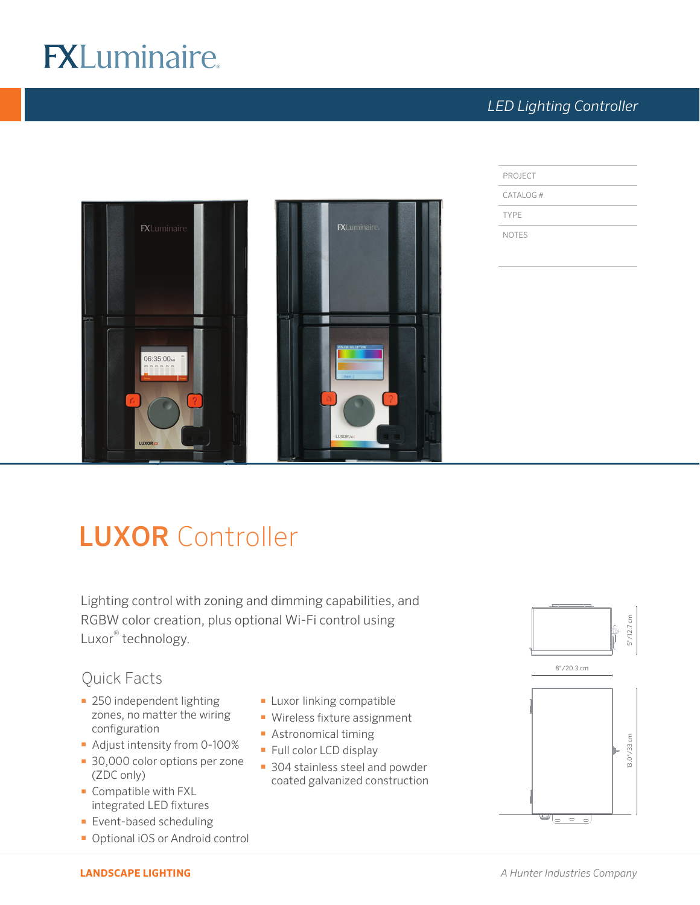# **FXLuminaire.**

## *LED Lighting Controller*



| PROJECT     |  |
|-------------|--|
| CATALOG#    |  |
| <b>TYPE</b> |  |

NOTES

## LUXOR Controller

Lighting control with zoning and dimming capabilities, and RGBW color creation, plus optional Wi-Fi control using Luxor® technology.

## Quick Facts

- **250 independent lighting** zones, no matter the wiring configuration
- Adjust intensity from 0-100%
- 30,000 color options per zone (ZDC only)
- **-** Compatible with FXL integrated LED fixtures
- **Event-based scheduling**
- **-** Optional iOS or Android control
- **Luxor linking compatible**
- $\blacksquare$  Wireless fixture assignment
- **Astronomical timing**
- Full color LCD display
- **304 stainless steel and powder** coated galvanized construction



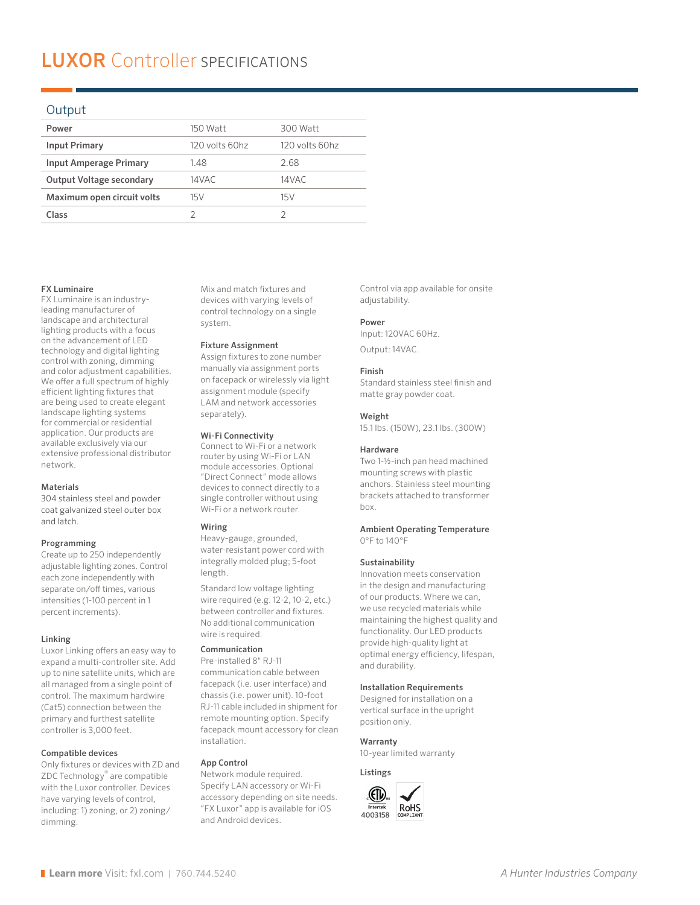## **LUXOR** Controller SPECIFICATIONS

#### Output

| Power                           | 150 Watt       | 300 Watt       |
|---------------------------------|----------------|----------------|
| <b>Input Primary</b>            | 120 volts 60hz | 120 volts 60hz |
| <b>Input Amperage Primary</b>   | 1.48           | 2.68           |
| <b>Output Voltage secondary</b> | 14VAC          | 14VAC          |
| Maximum open circuit volts      | 15V            | 15V            |
| Class                           |                |                |
|                                 |                |                |

#### FX Luminaire

FX Luminaire is an industryleading manufacturer of landscape and architectural lighting products with a focus on the advancement of LED technology and digital lighting control with zoning, dimming and color adjustment capabilities. We offer a full spectrum of highly efficient lighting fixtures that are being used to create elegant landscape lighting systems for commercial or residential application. Our products are available exclusively via our extensive professional distributor network.

#### Materials

304 stainless steel and powder coat galvanized steel outer box and latch.

#### Programming

Create up to 250 independently adjustable lighting zones. Control each zone independently with separate on/off times, various intensities (1-100 percent in 1 percent increments).

#### Linking

Luxor Linking offers an easy way to expand a multi-controller site. Add up to nine satellite units, which are all managed from a single point of control. The maximum hardwire (Cat5) connection between the primary and furthest satellite controller is 3,000 feet.

#### Compatible devices

Only fixtures or devices with ZD and ZDC Technology® are compatible with the Luxor controller. Devices have varying levels of control, including: 1) zoning, or 2) zoning/ dimming.

Mix and match fixtures and devices with varying levels of control technology on a single system.

#### Fixture Assignment

Assign fixtures to zone number manually via assignment ports on facepack or wirelessly via light assignment module (specify LAM and network accessories separately).

#### Wi-Fi Connectivity

Connect to Wi-Fi or a network router by using Wi-Fi or LAN module accessories. Optional "Direct Connect" mode allows devices to connect directly to a single controller without using Wi-Fi or a network router.

#### Wiring

Heavy-gauge, grounded, water-resistant power cord with integrally molded plug; 5-foot length.

Standard low voltage lighting wire required (e.g. 12-2, 10-2, etc.) between controller and fixtures. No additional communication wire is required.

#### Communication

Pre-installed 8" RJ-11 communication cable between facepack (i.e. user interface) and chassis (i.e. power unit). 10-foot RJ-11 cable included in shipment for remote mounting option. Specify facepack mount accessory for clean installation.

#### App Control

Network module required. Specify LAN accessory or Wi-Fi accessory depending on site needs. "FX Luxor" app is available for iOS and Android devices.

Control via app available for onsite adjustability.

#### Power

Input: 120VAC 60Hz. Output: 14VAC.

#### Finish

Standard stainless steel finish and matte gray powder coat.

#### Weight

15.1 lbs. (150W), 23.1 lbs. (300W)

#### Hardware

Two 1-1/2-inch pan head machined mounting screws with plastic anchors. Stainless steel mounting brackets attached to transformer box.

#### Ambient Operating Temperature 0°F to 140°F

#### Sustainability

Innovation meets conservation in the design and manufacturing of our products. Where we can, we use recycled materials while maintaining the highest quality and functionality. Our LED products provide high-quality light at optimal energy efficiency, lifespan, and durability.

#### Installation Requirements

Designed for installation on a vertical surface in the upright position only.

#### Warranty

10-year limited warranty

Listings